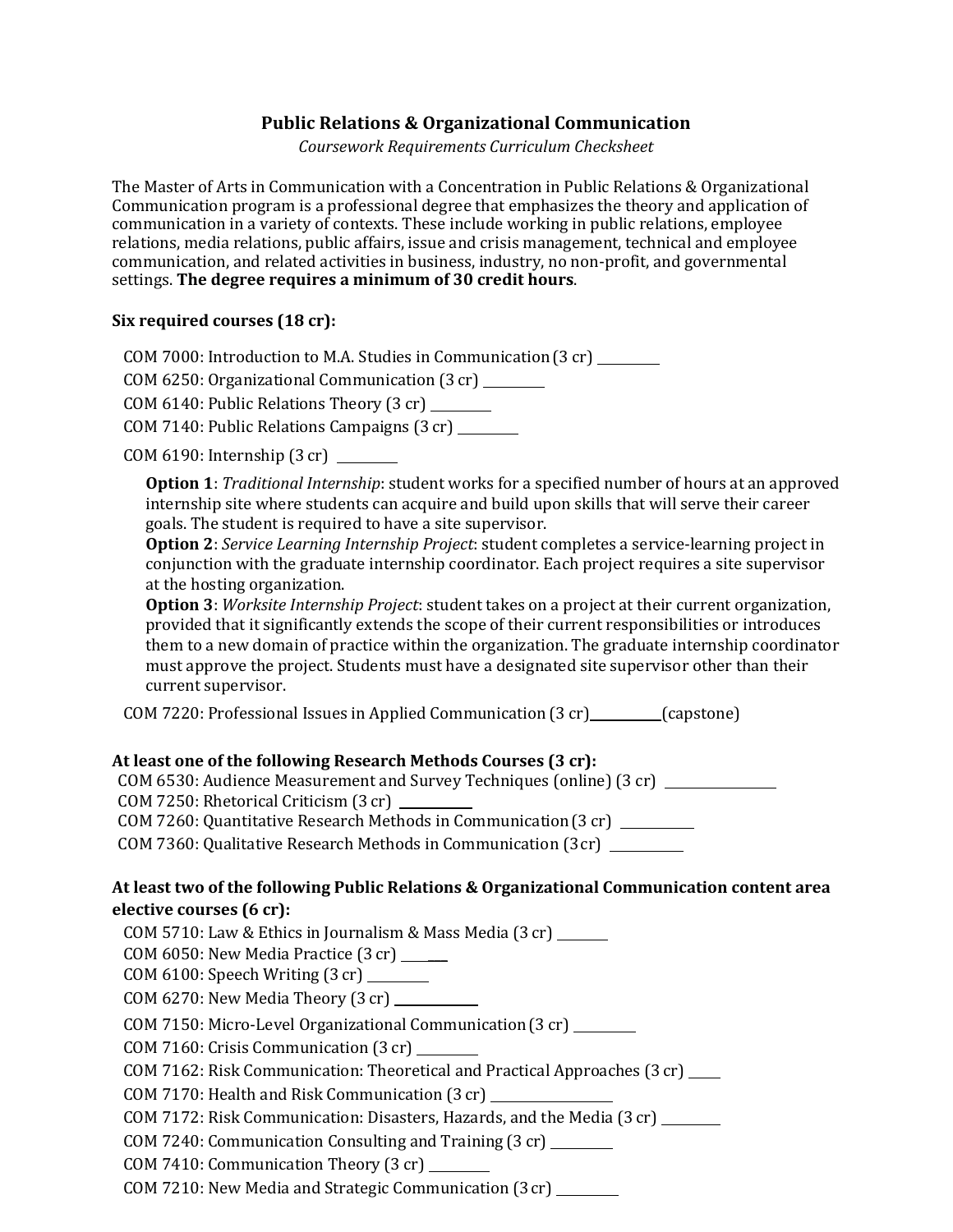## **Public Relations & Organizational Communication**

*Coursework Requirements Curriculum Checksheet*

The Master of Arts in Communication with a Concentration in Public Relations & Organizational Communication program is a professional degree that emphasizes the theory and application of communication in a variety of contexts. These include working in public relations, employee relations, media relations, public affairs, issue and crisis management, technical and employee communication, and related activities in business, industry, no non-profit, and governmental settings. **The degree requires a minimum of 30 credit hours**.

## **Six required courses (18 cr):**

COM 7000: Introduction to M.A. Studies in Communication(3 cr)

COM 6250: Organizational Communication (3 cr)

COM 6140: Public Relations Theory (3 cr)

COM 7140: Public Relations Campaigns (3 cr)

COM 6190: Internship (3 cr)

**Option 1**: *Traditional Internship*: student works for a specified number of hours at an approved internship site where students can acquire and build upon skills that will serve their career goals. The student is required to have a site supervisor.

**Option 2**: *Service Learning Internship Project*: student completes a service-learning project in conjunction with the graduate internship coordinator. Each project requires a site supervisor at the hosting organization.

**Option 3**: *Worksite Internship Project*: student takes on a project at their current organization, provided that it significantly extends the scope of their current responsibilities or introduces them to a new domain of practice within the organization. The graduate internship coordinator must approve the project. Students must have a designated site supervisor other than their current supervisor.

COM 7220: Professional Issues in Applied Communication(3 cr) (capstone)

## **At least one of the following Research Methods Courses (3 cr):**

COM 6530: Audience Measurement and Survey Techniques (online) (3 cr)

COM 7250: Rhetorical Criticism (3 cr)

COM 7260: Quantitative Research Methods in Communication(3 cr)

COM 7360: Qualitative Research Methods in Communication (3cr)

## **At least two of the following Public Relations & Organizational Communication content area elective courses (6 cr):**

COM 5710: Law & Ethics in Journalism & Mass Media (3 cr) COM 6050: New Media Practice (3 cr) \_\_\_ COM 6100: Speech Writing (3 cr) COM 6270: New Media Theory (3 cr) COM 7150: Micro-Level Organizational Communication(3 cr) COM 7160: Crisis Communication (3 cr) COM 7162: Risk Communication: Theoretical and Practical Approaches (3 cr) COM 7170: Health and Risk Communication (3 cr) COM 7172: Risk Communication: Disasters, Hazards, and the Media (3 cr) COM 7240: Communication Consulting and Training (3 cr) COM 7410: Communication Theory (3 cr)

COM 7210: New Media and Strategic Communication (3cr)